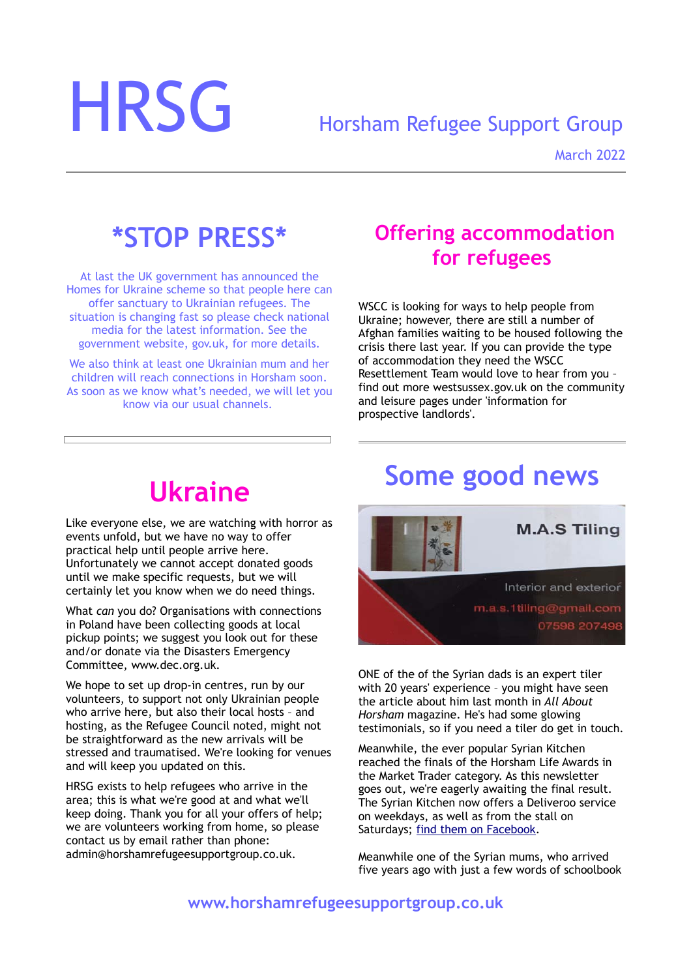# HRSG Horsham Refugee Support Group

March 2022

## **\*STOP PRESS\***

At last the UK government has announced the Homes for Ukraine scheme so that people here can offer sanctuary to Ukrainian refugees. The situation is changing fast so please check national media for the latest information. See the government website, gov.uk, for more details.

We also think at least one Ukrainian mum and her children will reach connections in Horsham soon. As soon as we know what's needed, we will let you know via our usual channels.

#### **Offering accommodation for refugees**

WSCC is looking for ways to help people from Ukraine; however, there are still a number of Afghan families waiting to be housed following the crisis there last year. If you can provide the type of accommodation they need the WSCC Resettlement Team would love to hear from you – find out more westsussex.gov.uk on the community and leisure pages under 'information for prospective landlords'.

# **Ukraine**

Like everyone else, we are watching with horror as events unfold, but we have no way to offer practical help until people arrive here. Unfortunately we cannot accept donated goods until we make specific requests, but we will certainly let you know when we do need things.

What *can* you do? Organisations with connections in Poland have been collecting goods at local pickup points; we suggest you look out for these and/or donate via the Disasters Emergency Committee, www.dec.org.uk.

We hope to set up drop-in centres, run by our volunteers, to support not only Ukrainian people who arrive here, but also their local hosts – and hosting, as the Refugee Council noted, might not be straightforward as the new arrivals will be stressed and traumatised. We're looking for venues and will keep you updated on this.

HRSG exists to help refugees who arrive in the area; this is what we're good at and what we'll keep doing. Thank you for all your offers of help; we are volunteers working from home, so please contact us by email rather than phone: admin@horshamrefugeesupportgroup.co.uk.

# **Some good news**



ONE of the of the Syrian dads is an expert tiler with 20 years' experience – you might have seen the article about him last month in *All About Horsham* magazine. He's had some glowing testimonials, so if you need a tiler do get in touch.

Meanwhile, the ever popular Syrian Kitchen reached the finals of the Horsham Life Awards in the Market Trader category. As this newsletter goes out, we're eagerly awaiting the final result. The Syrian Kitchen now offers a Deliveroo service on weekdays, as well as from the stall on Saturdays; [find them on Facebook.](https://www.facebook.com/The-Syrian-Kitchen-112274850448425)

Meanwhile one of the Syrian mums, who arrived five years ago with just a few words of schoolbook